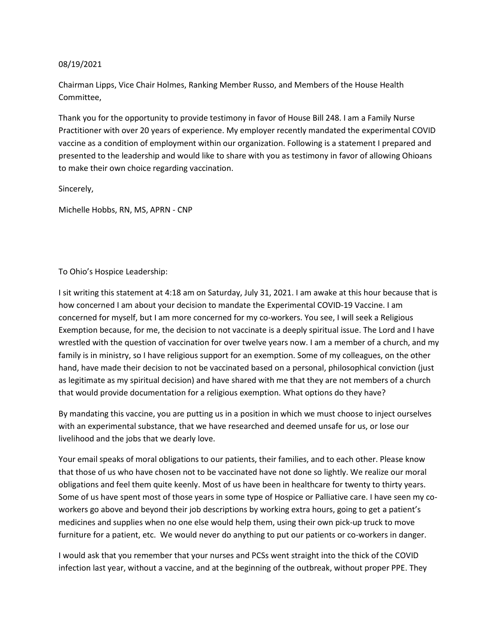## 08/19/2021

Chairman Lipps, Vice Chair Holmes, Ranking Member Russo, and Members of the House Health Committee,

Thank you for the opportunity to provide testimony in favor of House Bill 248. I am a Family Nurse Practitioner with over 20 years of experience. My employer recently mandated the experimental COVID vaccine as a condition of employment within our organization. Following is a statement I prepared and presented to the leadership and would like to share with you as testimony in favor of allowing Ohioans to make their own choice regarding vaccination.

Sincerely,

Michelle Hobbs, RN, MS, APRN - CNP

## To Ohio's Hospice Leadership:

I sit writing this statement at 4:18 am on Saturday, July 31, 2021. I am awake at this hour because that is how concerned I am about your decision to mandate the Experimental COVID-19 Vaccine. I am concerned for myself, but I am more concerned for my co-workers. You see, I will seek a Religious Exemption because, for me, the decision to not vaccinate is a deeply spiritual issue. The Lord and I have wrestled with the question of vaccination for over twelve years now. I am a member of a church, and my family is in ministry, so I have religious support for an exemption. Some of my colleagues, on the other hand, have made their decision to not be vaccinated based on a personal, philosophical conviction (just as legitimate as my spiritual decision) and have shared with me that they are not members of a church that would provide documentation for a religious exemption. What options do they have?

By mandating this vaccine, you are putting us in a position in which we must choose to inject ourselves with an experimental substance, that we have researched and deemed unsafe for us, or lose our livelihood and the jobs that we dearly love.

Your email speaks of moral obligations to our patients, their families, and to each other. Please know that those of us who have chosen not to be vaccinated have not done so lightly. We realize our moral obligations and feel them quite keenly. Most of us have been in healthcare for twenty to thirty years. Some of us have spent most of those years in some type of Hospice or Palliative care. I have seen my coworkers go above and beyond their job descriptions by working extra hours, going to get a patient's medicines and supplies when no one else would help them, using their own pick-up truck to move furniture for a patient, etc. We would never do anything to put our patients or co-workers in danger.

I would ask that you remember that your nurses and PCSs went straight into the thick of the COVID infection last year, without a vaccine, and at the beginning of the outbreak, without proper PPE. They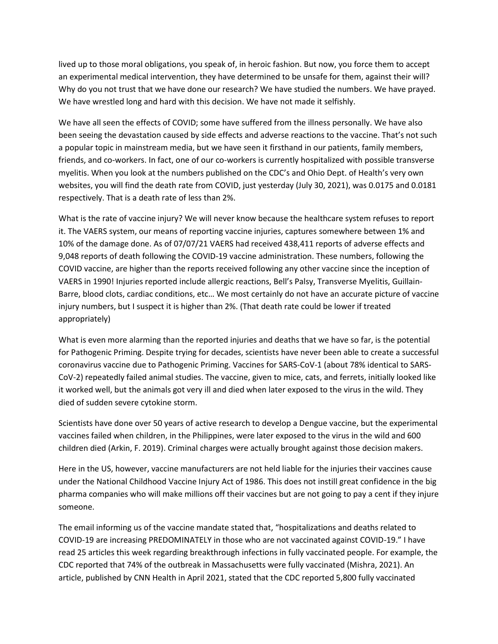lived up to those moral obligations, you speak of, in heroic fashion. But now, you force them to accept an experimental medical intervention, they have determined to be unsafe for them, against their will? Why do you not trust that we have done our research? We have studied the numbers. We have prayed. We have wrestled long and hard with this decision. We have not made it selfishly.

We have all seen the effects of COVID; some have suffered from the illness personally. We have also been seeing the devastation caused by side effects and adverse reactions to the vaccine. That's not such a popular topic in mainstream media, but we have seen it firsthand in our patients, family members, friends, and co-workers. In fact, one of our co-workers is currently hospitalized with possible transverse myelitis. When you look at the numbers published on the CDC's and Ohio Dept. of Health's very own websites, you will find the death rate from COVID, just yesterday (July 30, 2021), was 0.0175 and 0.0181 respectively. That is a death rate of less than 2%.

What is the rate of vaccine injury? We will never know because the healthcare system refuses to report it. The VAERS system, our means of reporting vaccine injuries, captures somewhere between 1% and 10% of the damage done. As of 07/07/21 VAERS had received 438,411 reports of adverse effects and 9,048 reports of death following the COVID-19 vaccine administration. These numbers, following the COVID vaccine, are higher than the reports received following any other vaccine since the inception of VAERS in 1990! Injuries reported include allergic reactions, Bell's Palsy, Transverse Myelitis, Guillain-Barre, blood clots, cardiac conditions, etc… We most certainly do not have an accurate picture of vaccine injury numbers, but I suspect it is higher than 2%. (That death rate could be lower if treated appropriately)

What is even more alarming than the reported injuries and deaths that we have so far, is the potential for Pathogenic Priming. Despite trying for decades, scientists have never been able to create a successful coronavirus vaccine due to Pathogenic Priming. Vaccines for SARS-CoV-1 (about 78% identical to SARS-CoV-2) repeatedly failed animal studies. The vaccine, given to mice, cats, and ferrets, initially looked like it worked well, but the animals got very ill and died when later exposed to the virus in the wild. They died of sudden severe cytokine storm.

Scientists have done over 50 years of active research to develop a Dengue vaccine, but the experimental vaccines failed when children, in the Philippines, were later exposed to the virus in the wild and 600 children died (Arkin, F. 2019). Criminal charges were actually brought against those decision makers.

Here in the US, however, vaccine manufacturers are not held liable for the injuries their vaccines cause under the National Childhood Vaccine Injury Act of 1986. This does not instill great confidence in the big pharma companies who will make millions off their vaccines but are not going to pay a cent if they injure someone.

The email informing us of the vaccine mandate stated that, "hospitalizations and deaths related to COVID-19 are increasing PREDOMINATELY in those who are not vaccinated against COVID-19." I have read 25 articles this week regarding breakthrough infections in fully vaccinated people. For example, the CDC reported that 74% of the outbreak in Massachusetts were fully vaccinated (Mishra, 2021). An article, published by CNN Health in April 2021, stated that the CDC reported 5,800 fully vaccinated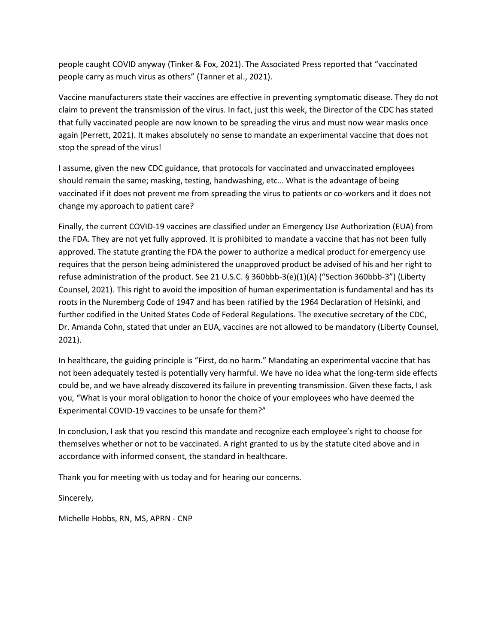people caught COVID anyway (Tinker & Fox, 2021). The Associated Press reported that "vaccinated people carry as much virus as others" (Tanner et al., 2021).

Vaccine manufacturers state their vaccines are effective in preventing symptomatic disease. They do not claim to prevent the transmission of the virus. In fact, just this week, the Director of the CDC has stated that fully vaccinated people are now known to be spreading the virus and must now wear masks once again (Perrett, 2021). It makes absolutely no sense to mandate an experimental vaccine that does not stop the spread of the virus!

I assume, given the new CDC guidance, that protocols for vaccinated and unvaccinated employees should remain the same; masking, testing, handwashing, etc… What is the advantage of being vaccinated if it does not prevent me from spreading the virus to patients or co-workers and it does not change my approach to patient care?

Finally, the current COVID-19 vaccines are classified under an Emergency Use Authorization (EUA) from the FDA. They are not yet fully approved. It is prohibited to mandate a vaccine that has not been fully approved. The statute granting the FDA the power to authorize a medical product for emergency use requires that the person being administered the unapproved product be advised of his and her right to refuse administration of the product. See 21 U.S.C. § 360bbb-3(e)(1)(A) ("Section 360bbb-3") (Liberty Counsel, 2021). This right to avoid the imposition of human experimentation is fundamental and has its roots in the Nuremberg Code of 1947 and has been ratified by the 1964 Declaration of Helsinki, and further codified in the United States Code of Federal Regulations. The executive secretary of the CDC, Dr. Amanda Cohn, stated that under an EUA, vaccines are not allowed to be mandatory (Liberty Counsel, 2021).

In healthcare, the guiding principle is "First, do no harm." Mandating an experimental vaccine that has not been adequately tested is potentially very harmful. We have no idea what the long-term side effects could be, and we have already discovered its failure in preventing transmission. Given these facts, I ask you, "What is your moral obligation to honor the choice of your employees who have deemed the Experimental COVID-19 vaccines to be unsafe for them?"

In conclusion, I ask that you rescind this mandate and recognize each employee's right to choose for themselves whether or not to be vaccinated. A right granted to us by the statute cited above and in accordance with informed consent, the standard in healthcare.

Thank you for meeting with us today and for hearing our concerns.

Sincerely,

Michelle Hobbs, RN, MS, APRN - CNP